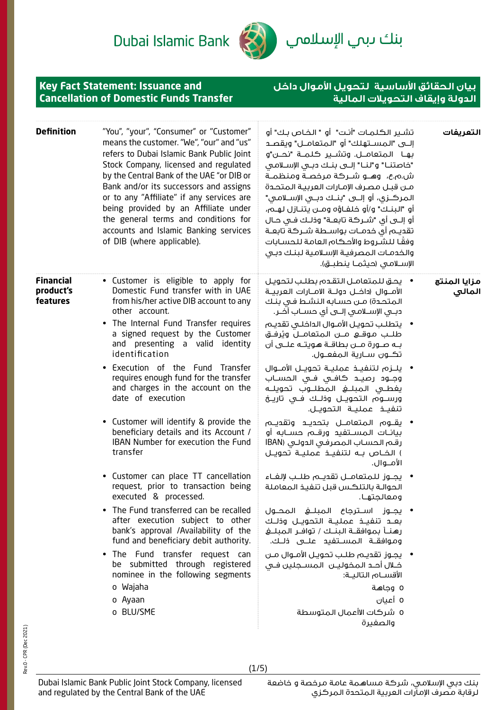بنك ىبم الإسلامي

## **بيان الحقائق األساسية لتحويل األموال داخل الدولة وإيقاف التحويالت المالية**

**Key Fact Statement: Issuance and Cancellation of Domestic Funds Transfer**

| التعريفات              | تشـير الكـلمـات "أنـت" أو " الـفـاص بـك" أو<br>إلــــى "المســـتهلك" أو  "المتعامـــل" ويقصــد<br>بهـا المتعامــل. وتشــير كـلمــة "نحــن"و<br>"خاصتنـــا" و"لنـــا" إلــــى بنـــك دبـــى الإســـلامــى<br>ش.م.ع،   وهــو شــركة مرخصـة ومنظمــة<br>مـن قبـل مصرف الإمـارات العربيـة المتحـدة<br>المركــزى، أو إلـــى "بنــك دبـــى الإســـلامــى"<br>أو "البنـك" و/أو خلفـاؤه ومــن يتنـازل لهـم،<br>أو إلـــى أى "شـــركــة تابـعــة" وذلــك فــى حــال<br>تقديـم أى خدمـات بواسـطة شـركة تابعـة<br>وفقًا للشروط والأحكام العامة للحسابات<br>والخدمات المصرفية الإسلامية لبنك دبى<br>الإســلامـى (حيثمــا ينطبــق). | "You", "your", "Consumer" or "Customer"<br>means the customer. "We", "our" and "us"<br>refers to Dubai Islamic Bank Public Joint<br>Stock Company, licensed and regulated<br>by the Central Bank of the UAE "or DIB or<br>Bank and/or its successors and assigns<br>or to any "Affiliate" if any services are<br>being provided by an Affiliate under<br>the general terms and conditions for<br>accounts and Islamic Banking services<br>of DIB (where applicable). | <b>Definition</b>                         |
|------------------------|------------------------------------------------------------------------------------------------------------------------------------------------------------------------------------------------------------------------------------------------------------------------------------------------------------------------------------------------------------------------------------------------------------------------------------------------------------------------------------------------------------------------------------------------------------------------------------------------------------------------|----------------------------------------------------------------------------------------------------------------------------------------------------------------------------------------------------------------------------------------------------------------------------------------------------------------------------------------------------------------------------------------------------------------------------------------------------------------------|-------------------------------------------|
| مزايا المنتج<br>المالى | •     يحق للمتعامـل التقـدم بطلـب لتحويـل<br>الأمـــوال (داخـــل دولـــة الامـــارات الـعربيــة<br>المتحدة) مـن حسـابه النشـط فـى بنـك<br>دبــــى الإســــلامـــى إلـــــى أى حســـــاب آذــــر.<br>•     يتطلب تحويل الأمـوال الداخلـى تقديـم<br>طلــب مـوقـــع مـــن الـمتعامـــل ويُرفــق                                                                                                                                                                                                                                                                                                                           | • Customer is eligible to apply for<br>Domestic Fund transfer with in UAE<br>from his/her active DIB account to any<br>other account.<br>• The Internal Fund Transfer requires<br>a signed request by the Customer                                                                                                                                                                                                                                                   | <b>Financial</b><br>product's<br>features |
|                        | بـه صــورة مــن بطاقــة هـويتــه علـــى أن<br>تڪــون ســـارية الـمفعـــول.<br>•   يلـــزم لتنفيـــذ عمليـــة تحويـــل الأمـــوال<br>وجــود رصيــد كافــى فــى الـحســاب<br>يغطــى المبلـــــــــــو المطلــــوب تحويلـــه<br>ورســـوم الـتحويـــل وذلــك فــى تاريــخ                                                                                                                                                                                                                                                                                                                                                  | and presenting a valid identity<br>identification<br>• Execution of the Fund<br>Transfer<br>requires enough fund for the transfer<br>and charges in the account on the<br>date of execution                                                                                                                                                                                                                                                                          |                                           |
|                        | • يقــوم المتعامــل بتحديــد وتقديــم<br>بيانـات المســتفيد ورقــم حســابه أو<br>رقم الحساب المصرفي الدولي (IBAN<br>) الخـاص بــه لتنفيـــف عمليــة تحويــل<br>الأمــوال.                                                                                                                                                                                                                                                                                                                                                                                                                                              | • Customer will identify & provide the<br>beneficiary details and its Account /<br>IBAN Number for execution the Fund<br>transfer                                                                                                                                                                                                                                                                                                                                    |                                           |
|                        | •    يجــوز للـمتعامــل تقديــم طلــب لإلغــاء<br>الحوالـة بالتلكس قبل تنفيذ المعاملة                                                                                                                                                                                                                                                                                                                                                                                                                                                                                                                                  | • Customer can place TT cancellation<br>request, prior to transaction being<br>executed & processed.                                                                                                                                                                                                                                                                                                                                                                 |                                           |
|                        | • يجـــوز اســـترجاع الـمبلــــغ الـمحـــول<br>بعــد تنفيــذ عمليــة التحويــل وذلــك<br>رهنــأ بموافقــة البنــك / توافــر المبلــغ<br>وموافقــة الـمســتفيــــ علـــى ذلــك.                                                                                                                                                                                                                                                                                                                                                                                                                                         | • The Fund transferred can be recalled<br>after execution subject to other<br>bank's approval /Availability of the<br>fund and beneficiary debit authority.                                                                                                                                                                                                                                                                                                          |                                           |
|                        | •    يجـوز تقديـم طلـب تحويـل الأمـوال مـن<br>خــلال أحــد الـمخوليـــن  الـمســجلـين فــى<br>الأقســام التاليــة:                                                                                                                                                                                                                                                                                                                                                                                                                                                                                                     | • The Fund transfer request can<br>be submitted through registered<br>nominee in the following segments                                                                                                                                                                                                                                                                                                                                                              |                                           |
|                        | 0 وجاهة                                                                                                                                                                                                                                                                                                                                                                                                                                                                                                                                                                                                                | o Wajaha                                                                                                                                                                                                                                                                                                                                                                                                                                                             |                                           |
|                        | 0 أعيان<br>0 شركات الاأعمال المتوسطة<br>والصغيرة                                                                                                                                                                                                                                                                                                                                                                                                                                                                                                                                                                       | o Ayaan<br>o BLU/SME                                                                                                                                                                                                                                                                                                                                                                                                                                                 |                                           |

(1/5)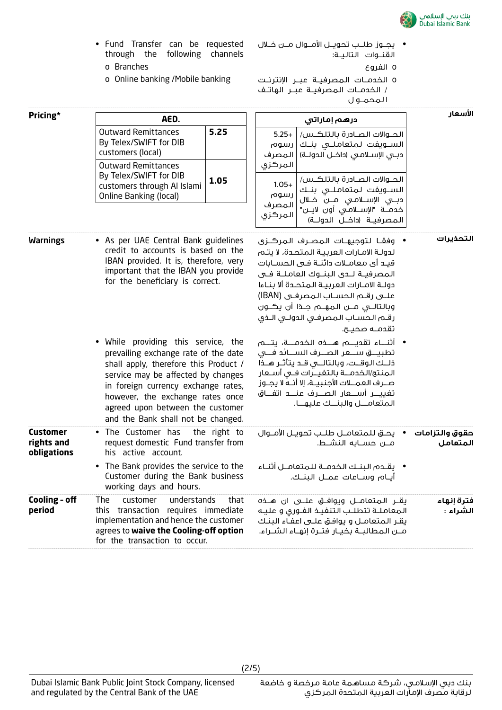

o الخدمــات المصرفيــة عبــر اإلنترنــت / الخدمــات المصرفيــة عبــر الهاتــف

o الفروع

- Fund Transfer can be requested through the following channels o Branches • يجــوز طلــب تحويــل األمــوال مــن خــال القنــوات التاليــة:
	- o Online banking /Mobile banking

|                                              |                                                                                                                                                                                                                                                                                                               |              |                            | ا لمحمـو ل                                                                                                                                                                                                                                                                                                                  |                            |
|----------------------------------------------|---------------------------------------------------------------------------------------------------------------------------------------------------------------------------------------------------------------------------------------------------------------------------------------------------------------|--------------|----------------------------|-----------------------------------------------------------------------------------------------------------------------------------------------------------------------------------------------------------------------------------------------------------------------------------------------------------------------------|----------------------------|
| Pricing*                                     | AED.                                                                                                                                                                                                                                                                                                          |              |                            | درهم إماراتي                                                                                                                                                                                                                                                                                                                | الأسعار                    |
|                                              | <b>Outward Remittances</b><br>By Telex/SWIFT for DIB<br>customers (local)                                                                                                                                                                                                                                     | 5.25         | $5.25+$<br>رسوم<br>المصرف  | الحـوالات الصـادرة بالتلكـس/<br>الســـويفت لـمتعاملــــى بنــك<br>دبـي الإســلامـي (داخــل الـدولــة)                                                                                                                                                                                                                       |                            |
|                                              | <b>Outward Remittances</b><br>By Telex/SWIFT for DIB<br>customers through AI Islami<br><b>Online Banking (local)</b>                                                                                                                                                                                          | 1.05         | المركزى<br>$1.05+$<br>رسوم | الحــوالات الصــادرة بالتلكــس/<br>الســـويفت لـمتعاملــــى بنــك<br>دبــى الإســـلامـى مـــن خــلال                                                                                                                                                                                                                        |                            |
|                                              |                                                                                                                                                                                                                                                                                                               |              | المصرف<br>المركزى          | خدمــة "الإســـلامـى أون لايــن"<br>المصرفيـة (داخــل الدولــة)                                                                                                                                                                                                                                                             |                            |
| <b>Warnings</b>                              | • As per UAE Central Bank guidelines<br>credit to accounts is based on the<br>IBAN provided. It is, therefore, very<br>important that the IBAN you provide<br>for the beneficiary is correct.                                                                                                                 |              |                            | وفقـا لتوجيهـات المصـرف المركــزى<br>لدولـة الامـارات العربيـة الـمـتحـدة، لا يتـم<br>قيـد أي معامــلات دائنــة فــى الـحســابات<br>المصرفيــة لــدى البنــوك العاملــة فــى<br>دولـة الامـارات العربيـة الـمتحـدة ألا بنـاءا<br>علــى رقــم الـحسـاب المصرفـى (IBAN)<br>رقم الحساب المصرفى الدولى الـذى<br>تقدمــه صحيــح. | التحذيرات                  |
|                                              | While providing this service, the<br>prevailing exchange rate of the date<br>shall apply, therefore this Product /<br>service may be affected by changes<br>in foreign currency exchange rates,<br>however, the exchange rates once<br>agreed upon between the customer<br>and the Bank shall not be changed. |              |                            | ذلــك الوقــت، وبالتالـــى قـد يتأثـر هــذا<br>المنتج/الخدمــة بالتفيــرات فــى أســعار<br>صــرف العمـــلات الأجنبيــة، إلا أنــه لا يجــوز<br>المتعامــل والبنــك عليهــا.                                                                                                                                                 |                            |
| <b>Customer</b><br>rights and<br>obligations | • The Customer has<br>request domestic Fund transfer from<br>his active account.                                                                                                                                                                                                                              | the right to |                            | يحــق للمتعامــل طلــب تحويــل الأمــوال<br>مـــن حســـابه الـنشـــط.                                                                                                                                                                                                                                                       | حقوق والتزامات<br>المتعامل |
|                                              | • The Bank provides the service to the<br>Customer during the Bank business<br>working days and hours.                                                                                                                                                                                                        |              |                            | •     يقـدم البنـك الخدمـة للمتعامـل أثنـاء<br>أيـام وســاعات عمــل البنــك.                                                                                                                                                                                                                                                |                            |
| Cooling - off<br>period                      | understands<br>The<br>customer<br>this<br>transaction requires immediate<br>implementation and hence the customer<br>agrees to waive the Cooling-off option<br>for the transaction to occur.                                                                                                                  | that         |                            | يقــر الـمـتعامـــل ويوافـــق علــــى ان هــــذه<br>المعاملـة تتطلب التنفيـذ الفـورى و عليـه<br>يقـر المتعامـل و يوافـق علــى اعفـاء البنـك<br>مــن المطالبــة بخيــار فتــرة إنهــاء الشــراء.                                                                                                                             | فترة إنهاء<br>الشراء :     |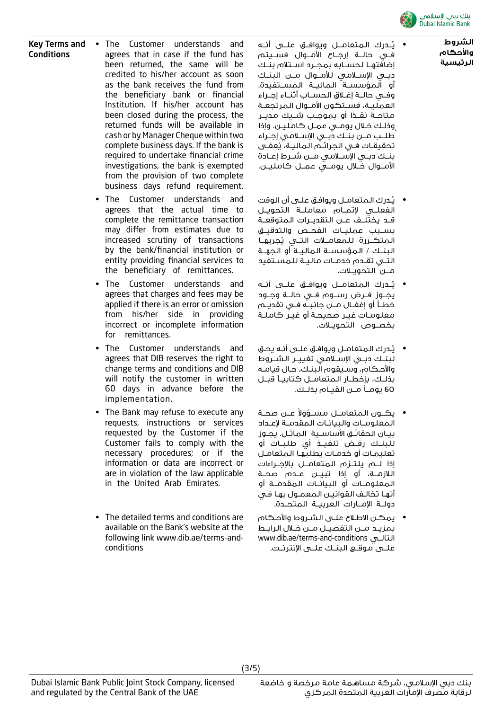

**الشروط واألحكام الرئيسية**

- يُــدرك المتعامــل ويوافــق علـــى أنــه فــي حالــة إرجــاع األمــوال فســيتم إضافتهــا لحســابه بمجــرد اســتالم بنــك دبــي اإلســامي لألمــوال مــن البنــك أو المؤسســة الماليــة المســتفيدة. وفــي حالــة إغــاق الحســاب أثنــاء إجــراء العمليــة، فســتكون الأمــوال المرتجعــة متاحـــة نقـــــــــا و بــمـوجـــب شــــيك مـحيـــر وذلـك خـال يومـي عمـل كامليـن. وإذا ُطلــب مــن بنــك دبــي اإلســامي إجــراء تحقيقـات فـي الـجرائــم الـماليـة، يُعفــى بنــك دبــي اإلســامي مــن شــرط إعــادة األمــوال خــال يومــي عمــل كامليــن.
	- يُـدرك المتعامـل ويوافـق علـى أن الوقت الفعلــي إلتمــام معاملــة التحويــل قــد يختلــف عــن التقديــرات المتوقعــة بســبب عمليــات الفحــص والتدقيــق المتكــررة للمعامــلات التــي يُجريهـا البنــك / المؤسســة الماليــة أو الجهــة التــي تقــدم خدمــات ماليــة للمســتفيد مــن التحويــات.
	- يُــدرك المتعامــل ويوافــق علــى أنــه يجــوز فــرض رســوم فــي حالــة وجــود خطــأ أو إغفــال مــن جانبــه فــي تقديــم معلومـات غيـر صحيحـة أو غيـر كاملـة بخصــوص التحويــات.
	- يُـدرك المتعامـل ويوافـق علـى أنـه يحـق لبنــك دبــي اإلســامي تغييــر الشــروط واألحـكام، وسـيقوم البنـك، حـال قيامـه بذلــك، بإخطــار المتعامــل كتابيــا قبــل 60 يومــا مــن القيــام بذلــك.
	- يكــون المتعامــل مســؤولاً عــن صحــة المعلومــات والبيانــات المقدمــة إلعــداد بيــان الحقائــق األساســية الماثــل. يجــوز للبنــك رفــض تنفيــذ أي طلبــات أو تعليمـات أو خدمـات يطلبهـا المتعامـل إذا لــم يلتــزم المتعامــل باإلجــراءات الالزمــة، أو إذا تبيــن عــدم صحــة المعلومــات أو البيانــات المقدمــة أو أنهـا تخالـف القوانيـن المعمـول بهـا فـي دولــة اإلمــارات العربيــة المتحــدة.
	- يمكـن االطـاع علـى الشـروط واألحـكام بمزيــد مــن التفصيــل مــن خــال الرابــط www.dib.ae/terms-and-conditions التالــي علــى موقــع البنــك علــى اإلنترنــت.

• The Customer understands and agrees that in case if the fund has been returned, the same will be credited to his/her account as soon as the bank receives the fund from the beneficiary bank or financial Institution. If his/her account has been closed during the process, the returned funds will be available in cash or by Manager Cheque within two complete business days. If the bank is required to undertake financial crime investigations, the bank is exempted from the provision of two complete business days refund requirement.

Key Terms and **Conditions** 

- The Customer understands and agrees that the actual time to complete the remittance transaction may differ from estimates due to increased scrutiny of transactions by the bank/financial institution or entity providing financial services to the beneficiary of remittances.
- The Customer understands and agrees that charges and fees may be applied if there is an error or omission from his/her side in providing incorrect or incomplete information for remittances.
- The Customer understands and agrees that DIB reserves the right to change terms and conditions and DIB will notify the customer in written 60 days in advance before the implementation.
- The Bank may refuse to execute any requests, instructions or services requested by the Customer if the Customer fails to comply with the necessary procedures; or if the information or data are incorrect or are in violation of the law applicable in the United Arab Emirates.
- The detailed terms and conditions are available on the Bank's website at the following link www.dib.ae/terms-andconditions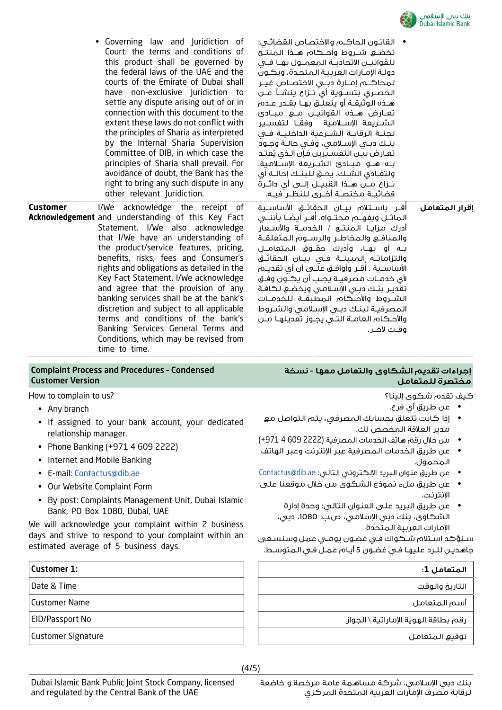

| rights and obligations as detailed in the<br>الأساســية . أقــر وأوافــق عـلـــى أن أي تقديــــم<br>Key Fact Statement. I/We acknowledge<br>لأى خدمــات مصرفيــة يجــب أن يكــون وفــق<br>and agree that the provision of any<br>تقدير بنك دبي الإسلامى ويخضع لكافة<br>banking services shall be at the bank's<br>الشــروط والأحــكام المطبقــة للـخدمــات<br>discretion and subject to all applicable<br>المصرفية لبنك دبى الإسلامى والشروط<br>terms and conditions of the bank's<br>والأحكام العامــة التــى يجــوز تعديلهـا مــن<br>Banking Services General Terms and<br>وقـت لآخــر.<br>Conditions, which may be revised from<br>time to time.<br><b>Complaint Process and Procedures - Condensed</b><br>إجراءات تقديم الشكاوي والتعامل معها - نسخة<br><b>Customer Version</b><br>مختصرة للمتعامل<br>How to complain to us?<br>كيف تقدم شكوى إلينا؟<br>•      عن طريق أي فرع.<br>• Any branch<br>• إذا كانت تتعلق بحسابك المصرفي، يتم التواصل مع<br>If assigned to your bank account, your dedicated<br>مدير العلاقة المخصص لك.<br>relationship manager.<br>من خلال رقم هاتف الخدمات المصرفية (2222 609 4 971+)<br>Phone Banking (+971 4 609 2222)<br>$\bullet$<br>عن طريق الخدمات المصرفية عبر الإنترنت وعبر الهاتف<br>Internet and Mobile Banking<br>المحمول.<br>عن طريق عنوان البريد الإلكتروني التالي: Contactus@dib.ae<br>E-mail: Contactus@dib.ae<br>عن طريق ملء نموذج الشكوى من خلال موقعنا على<br>Our Website Complaint Form<br>الإنترنت.<br>By post: Complaints Management Unit, Dubai Islamic<br>عن طريق البريد على العنوان التالى: وحدة إدارة<br>Bank, PO Box 1080, Dubai, UAE<br>الشكاوي، بنك دبي الإسلامي، ص.ب: 1080، دبي،<br>We will acknowledge your complaint within 2 business<br>الإمارات العربية المتحدة<br>days and strive to respond to your complaint within an<br>سنؤكد استلام شكواك فى غضون يومى عمل وسنسعى<br>estimated average of 5 business days.<br>جاهديـن لـلـرد عليهـا فـى غضـون 5 أيـام عمـل فـى المتوسـط.<br><b>Customer 1:</b><br>المتعامل 1:<br>Date & Time<br>التاريخ والوقت<br><b>Customer Name</b><br>أسم المتعامل<br>EID/Passport No<br>رقم بطاقة الهوية الإماراتية \ الجواز<br><b>Customer Signature</b><br>توقيع المتعامل | • Governing law and Juridiction of<br>Court: the terms and conditions of<br>this product shall be governed by<br>the federal laws of the UAE and the<br>courts of the Emirate of Dubai shall<br>have non-exclusive Juridiction to<br>settle any dispute arising out of or in<br>connection with this document to the<br>extent these laws do not conflict with<br>the principles of Sharia as interpreted<br>by the Internal Sharia Supervision<br>Committee of DIB, in which case the<br>principles of Sharia shall prevail. For<br>avoidance of doubt, the Bank has the<br>right to bring any such dispute in any<br>other relevant Juridiction.<br>Customer<br>I/We acknowledge the receipt of<br>Acknowledgement and understanding of this Key Fact<br>Statement. I/We also acknowledge<br>that I/We have an understanding of<br>the product/service features, pricing,<br>benefits, risks, fees and Consumer's | •    القانـون الـحاكــم والاختصـاص القضائـى:<br>تخضــع شـــروط وأحـــكام هـــذا الـمنتـــج<br>للقوانيـن الاتحاديــة الـمعمــول بهــا فــى<br>دولـة الإمـارات العربيـة المتحـدة، ويكـون<br>لمحاكـــم إمـــارة دبـــى الاختصــاص غيــر<br>الحصــري بتســـوية أي نـــزاع ينشـــأ عـــن<br>هــذه الـوثيقــة أو يتعلــق بهــا بقــدر عــدم<br>تعــارض هـــذه القوانيـــن مـــع مـبــادئ<br>الشـــريعة الإســـلامـية   وفقــا  لتفســير<br>لجنــة الرقابــة الشــرعية الـداخليــة فــى<br>بنك دبى الإسلامي، وفي حالـة وجـود<br>تعارض بين التفسيرين فإن الـذى يُعتد<br>بـه هــو مبــادئ الشــريعة الإســلامية.<br>ولتفـادي الشـك، يحـق للبنـك إحالــة أي<br>نــزاع مـــن هـــذا الـقبيـــل إلـــى أي دائــرة<br>قضائيــة مختصــة أخــرى للنظــر فيــه.<br>أقــر باســتلام بيــان الـحقائــق الأساســية<br>اقرار المتعامل<br>الماثـــل وبفهـــم مـــحتـــواه. أقـــر أيضًـــا بأننــــى<br>والمنافـع والمخاطـر والرسـوم المتعلقـة<br>بـه أو بهـا، وأدرك حقــوق المتعامــل<br>والتزاماتـه المبينــة فــى بيــان الحقائــق |
|-------------------------------------------------------------------------------------------------------------------------------------------------------------------------------------------------------------------------------------------------------------------------------------------------------------------------------------------------------------------------------------------------------------------------------------------------------------------------------------------------------------------------------------------------------------------------------------------------------------------------------------------------------------------------------------------------------------------------------------------------------------------------------------------------------------------------------------------------------------------------------------------------------------------------------------------------------------------------------------------------------------------------------------------------------------------------------------------------------------------------------------------------------------------------------------------------------------------------------------------------------------------------------------------------------------------------------------------------------------------------------------------------------------------------------------------------------------------------------------------------------------------------------------------------------------------------------------------------------------------------------------------------------------------------------------------------------------------------------------------------------------------------------------------------------------------------------------------------------------------------------------------------------------------------------------------------------------------------------------------------------------------------------------------------------------------------------------------------------------------------------------------------------------------------|---------------------------------------------------------------------------------------------------------------------------------------------------------------------------------------------------------------------------------------------------------------------------------------------------------------------------------------------------------------------------------------------------------------------------------------------------------------------------------------------------------------------------------------------------------------------------------------------------------------------------------------------------------------------------------------------------------------------------------------------------------------------------------------------------------------------------------------------------------------------------------------------------------------------|------------------------------------------------------------------------------------------------------------------------------------------------------------------------------------------------------------------------------------------------------------------------------------------------------------------------------------------------------------------------------------------------------------------------------------------------------------------------------------------------------------------------------------------------------------------------------------------------------------------------------------------------------------------------------------------------------------------------------------------------------------------------------------------------------------------------------------------------------------------------------------------------------------------------------------------------------------------------------------------------------------------|
|                                                                                                                                                                                                                                                                                                                                                                                                                                                                                                                                                                                                                                                                                                                                                                                                                                                                                                                                                                                                                                                                                                                                                                                                                                                                                                                                                                                                                                                                                                                                                                                                                                                                                                                                                                                                                                                                                                                                                                                                                                                                                                                                                                         |                                                                                                                                                                                                                                                                                                                                                                                                                                                                                                                                                                                                                                                                                                                                                                                                                                                                                                                     |                                                                                                                                                                                                                                                                                                                                                                                                                                                                                                                                                                                                                                                                                                                                                                                                                                                                                                                                                                                                                  |
|                                                                                                                                                                                                                                                                                                                                                                                                                                                                                                                                                                                                                                                                                                                                                                                                                                                                                                                                                                                                                                                                                                                                                                                                                                                                                                                                                                                                                                                                                                                                                                                                                                                                                                                                                                                                                                                                                                                                                                                                                                                                                                                                                                         |                                                                                                                                                                                                                                                                                                                                                                                                                                                                                                                                                                                                                                                                                                                                                                                                                                                                                                                     |                                                                                                                                                                                                                                                                                                                                                                                                                                                                                                                                                                                                                                                                                                                                                                                                                                                                                                                                                                                                                  |
|                                                                                                                                                                                                                                                                                                                                                                                                                                                                                                                                                                                                                                                                                                                                                                                                                                                                                                                                                                                                                                                                                                                                                                                                                                                                                                                                                                                                                                                                                                                                                                                                                                                                                                                                                                                                                                                                                                                                                                                                                                                                                                                                                                         |                                                                                                                                                                                                                                                                                                                                                                                                                                                                                                                                                                                                                                                                                                                                                                                                                                                                                                                     |                                                                                                                                                                                                                                                                                                                                                                                                                                                                                                                                                                                                                                                                                                                                                                                                                                                                                                                                                                                                                  |
|                                                                                                                                                                                                                                                                                                                                                                                                                                                                                                                                                                                                                                                                                                                                                                                                                                                                                                                                                                                                                                                                                                                                                                                                                                                                                                                                                                                                                                                                                                                                                                                                                                                                                                                                                                                                                                                                                                                                                                                                                                                                                                                                                                         |                                                                                                                                                                                                                                                                                                                                                                                                                                                                                                                                                                                                                                                                                                                                                                                                                                                                                                                     |                                                                                                                                                                                                                                                                                                                                                                                                                                                                                                                                                                                                                                                                                                                                                                                                                                                                                                                                                                                                                  |
|                                                                                                                                                                                                                                                                                                                                                                                                                                                                                                                                                                                                                                                                                                                                                                                                                                                                                                                                                                                                                                                                                                                                                                                                                                                                                                                                                                                                                                                                                                                                                                                                                                                                                                                                                                                                                                                                                                                                                                                                                                                                                                                                                                         |                                                                                                                                                                                                                                                                                                                                                                                                                                                                                                                                                                                                                                                                                                                                                                                                                                                                                                                     |                                                                                                                                                                                                                                                                                                                                                                                                                                                                                                                                                                                                                                                                                                                                                                                                                                                                                                                                                                                                                  |
|                                                                                                                                                                                                                                                                                                                                                                                                                                                                                                                                                                                                                                                                                                                                                                                                                                                                                                                                                                                                                                                                                                                                                                                                                                                                                                                                                                                                                                                                                                                                                                                                                                                                                                                                                                                                                                                                                                                                                                                                                                                                                                                                                                         |                                                                                                                                                                                                                                                                                                                                                                                                                                                                                                                                                                                                                                                                                                                                                                                                                                                                                                                     |                                                                                                                                                                                                                                                                                                                                                                                                                                                                                                                                                                                                                                                                                                                                                                                                                                                                                                                                                                                                                  |
|                                                                                                                                                                                                                                                                                                                                                                                                                                                                                                                                                                                                                                                                                                                                                                                                                                                                                                                                                                                                                                                                                                                                                                                                                                                                                                                                                                                                                                                                                                                                                                                                                                                                                                                                                                                                                                                                                                                                                                                                                                                                                                                                                                         |                                                                                                                                                                                                                                                                                                                                                                                                                                                                                                                                                                                                                                                                                                                                                                                                                                                                                                                     |                                                                                                                                                                                                                                                                                                                                                                                                                                                                                                                                                                                                                                                                                                                                                                                                                                                                                                                                                                                                                  |
|                                                                                                                                                                                                                                                                                                                                                                                                                                                                                                                                                                                                                                                                                                                                                                                                                                                                                                                                                                                                                                                                                                                                                                                                                                                                                                                                                                                                                                                                                                                                                                                                                                                                                                                                                                                                                                                                                                                                                                                                                                                                                                                                                                         |                                                                                                                                                                                                                                                                                                                                                                                                                                                                                                                                                                                                                                                                                                                                                                                                                                                                                                                     |                                                                                                                                                                                                                                                                                                                                                                                                                                                                                                                                                                                                                                                                                                                                                                                                                                                                                                                                                                                                                  |